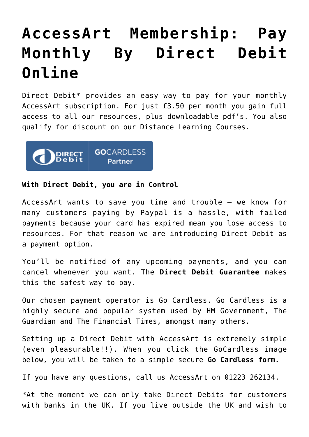## **[AccessArt Membership: Pay](https://www.accessart.org.uk/accessart-membership-pay-by-direct-debit-online/) [Monthly By Direct Debit](https://www.accessart.org.uk/accessart-membership-pay-by-direct-debit-online/) [Online](https://www.accessart.org.uk/accessart-membership-pay-by-direct-debit-online/)**

Direct Debit\* provides an easy way to pay for your monthly AccessArt subscription. For just £3.50 per month you gain full access to all our [resources,](https://www.accessart.org.uk/find-a-resource/) plus downloadable pdf's. You also qualify for discount on our [Distance Learning Courses.](https://www.accessart.org.uk/distance-learning-courses/)



## **With Direct Debit, you are in Control**

AccessArt wants to save you time and trouble – we know for many customers paying by Paypal is a hassle, with failed payments because your card has expired mean you lose access to resources. For that reason we are introducing Direct Debit as a payment option.

You'll be notified of any upcoming payments, and you can cancel whenever you want. The **[Direct Debit Guarantee](http://www.directdebit.co.uk/DirectDebitExplained/Pages/DirectDebitGuarantee.aspx)** makes this the safest way to pay.

Our chosen payment operator is Go Cardless. Go Cardless is a highly secure and popular system used by HM Government, The Guardian and The Financial Times, amongst many others.

Setting up a Direct Debit with AccessArt is extremely simple (even pleasurable!!). When you click the GoCardless image below, you will be taken to a simple secure **[Go Cardless form.](https://dashboard.gocardless.com/api/template_plans/12VSEEDAG3/paylink)**

If you have any questions, call us AccessArt on 01223 262134.

\*At the moment we can only take Direct Debits for customers with banks in the UK. If you live outside the UK and wish to